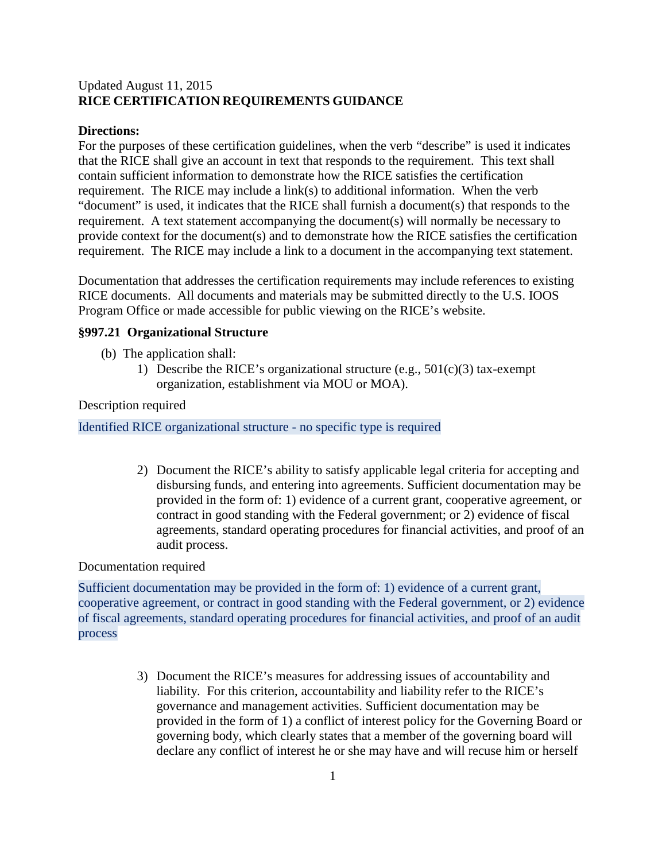# Updated August 11, 2015 **RICE CERTIFICATION REQUIREMENTS GUIDANCE**

# **Directions:**

For the purposes of these certification guidelines, when the verb "describe" is used it indicates that the RICE shall give an account in text that responds to the requirement. This text shall contain sufficient information to demonstrate how the RICE satisfies the certification requirement. The RICE may include a link(s) to additional information. When the verb "document" is used, it indicates that the RICE shall furnish a document(s) that responds to the requirement. A text statement accompanying the document(s) will normally be necessary to provide context for the document(s) and to demonstrate how the RICE satisfies the certification requirement. The RICE may include a link to a document in the accompanying text statement.

Documentation that addresses the certification requirements may include references to existing RICE documents. All documents and materials may be submitted directly to the U.S. IOOS Program Office or made accessible for public viewing on the RICE's website.

# **§997.21 Organizational Structure**

- (b)The application shall:
	- 1) Describe the RICE's organizational structure (e.g.,  $501(c)(3)$  tax-exempt organization, establishment via MOU or MOA).

## Description required

## Identified RICE organizational structure - no specific type is required

2) Document the RICE's ability to satisfy applicable legal criteria for accepting and disbursing funds, and entering into agreements. Sufficient documentation may be provided in the form of: 1) evidence of a current grant, cooperative agreement, or contract in good standing with the Federal government; or 2) evidence of fiscal agreements, standard operating procedures for financial activities, and proof of an audit process.

### Documentation required

Sufficient documentation may be provided in the form of: 1) evidence of a current grant, cooperative agreement, or contract in good standing with the Federal government, or 2) evidence of fiscal agreements, standard operating procedures for financial activities, and proof of an audit process

> 3) Document the RICE's measures for addressing issues of accountability and liability. For this criterion, accountability and liability refer to the RICE's governance and management activities. Sufficient documentation may be provided in the form of 1) a conflict of interest policy for the Governing Board or governing body, which clearly states that a member of the governing board will declare any conflict of interest he or she may have and will recuse him or herself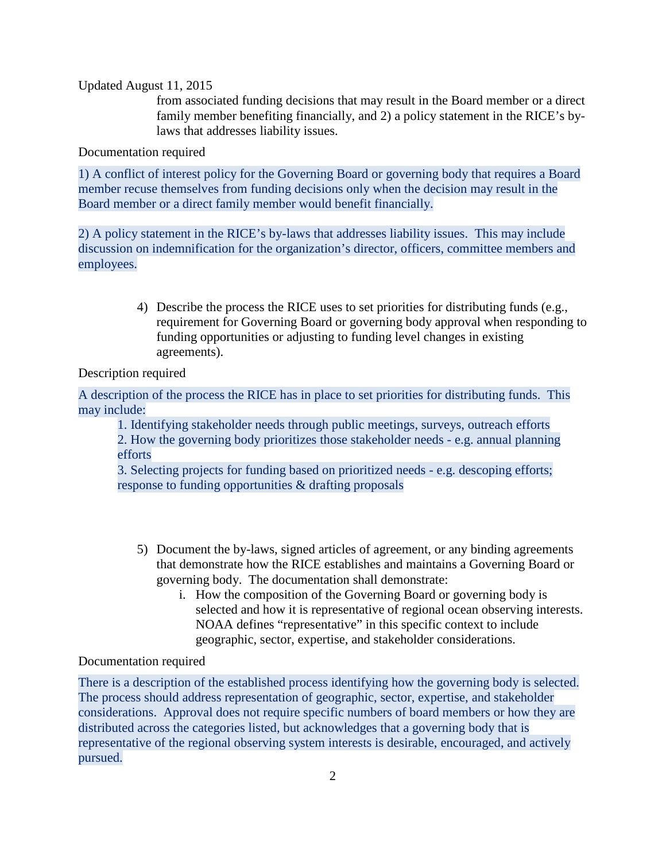from associated funding decisions that may result in the Board member or a direct family member benefiting financially, and 2) a policy statement in the RICE's bylaws that addresses liability issues.

## Documentation required

1) A conflict of interest policy for the Governing Board or governing body that requires a Board member recuse themselves from funding decisions only when the decision may result in the Board member or a direct family member would benefit financially.

2) A policy statement in the RICE's by-laws that addresses liability issues. This may include discussion on indemnification for the organization's director, officers, committee members and employees.

> 4) Describe the process the RICE uses to set priorities for distributing funds (e.g., requirement for Governing Board or governing body approval when responding to funding opportunities or adjusting to funding level changes in existing agreements).

## Description required

A description of the process the RICE has in place to set priorities for distributing funds. This may include:

1. Identifying stakeholder needs through public meetings, surveys, outreach efforts

2. How the governing body prioritizes those stakeholder needs - e.g. annual planning efforts

3. Selecting projects for funding based on prioritized needs - e.g. descoping efforts; response to funding opportunities & drafting proposals

- 5) Document the by-laws, signed articles of agreement, or any binding agreements that demonstrate how the RICE establishes and maintains a Governing Board or governing body. The documentation shall demonstrate:
	- i. How the composition of the Governing Board or governing body is selected and how it is representative of regional ocean observing interests. NOAA defines "representative" in this specific context to include geographic, sector, expertise, and stakeholder considerations.

### Documentation required

There is a description of the established process identifying how the governing body is selected. The process should address representation of geographic, sector, expertise, and stakeholder considerations. Approval does not require specific numbers of board members or how they are distributed across the categories listed, but acknowledges that a governing body that is representative of the regional observing system interests is desirable, encouraged, and actively pursued.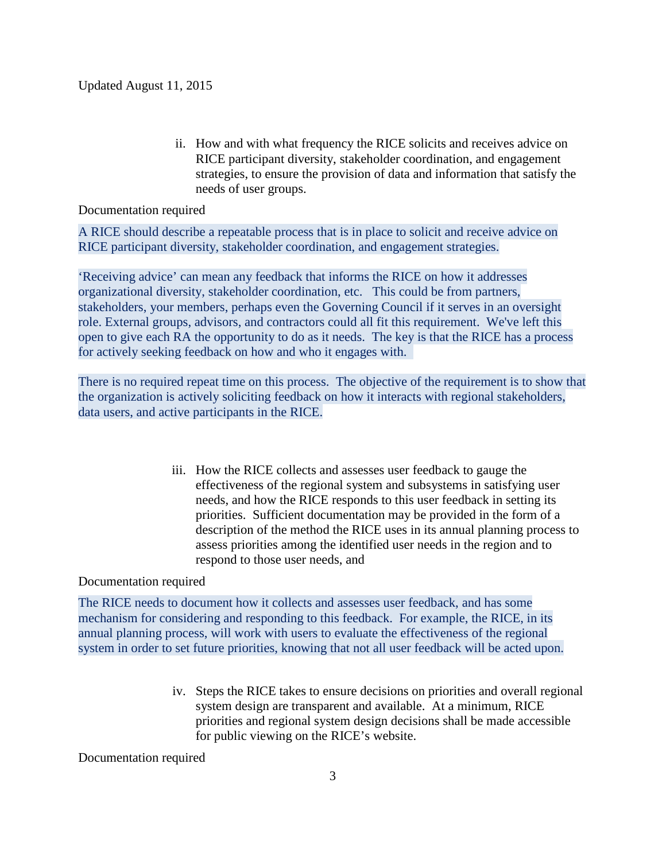ii. How and with what frequency the RICE solicits and receives advice on RICE participant diversity, stakeholder coordination, and engagement strategies, to ensure the provision of data and information that satisfy the needs of user groups.

### Documentation required

A RICE should describe a repeatable process that is in place to solicit and receive advice on RICE participant diversity, stakeholder coordination, and engagement strategies.

'Receiving advice' can mean any feedback that informs the RICE on how it addresses organizational diversity, stakeholder coordination, etc. This could be from partners, stakeholders, your members, perhaps even the Governing Council if it serves in an oversight role. External groups, advisors, and contractors could all fit this requirement. We've left this open to give each RA the opportunity to do as it needs. The key is that the RICE has a process for actively seeking feedback on how and who it engages with.

There is no required repeat time on this process. The objective of the requirement is to show that the organization is actively soliciting feedback on how it interacts with regional stakeholders, data users, and active participants in the RICE.

> iii. How the RICE collects and assesses user feedback to gauge the effectiveness of the regional system and subsystems in satisfying user needs, and how the RICE responds to this user feedback in setting its priorities. Sufficient documentation may be provided in the form of a description of the method the RICE uses in its annual planning process to assess priorities among the identified user needs in the region and to respond to those user needs, and

#### Documentation required

The RICE needs to document how it collects and assesses user feedback, and has some mechanism for considering and responding to this feedback. For example, the RICE, in its annual planning process, will work with users to evaluate the effectiveness of the regional system in order to set future priorities, knowing that not all user feedback will be acted upon.

> iv. Steps the RICE takes to ensure decisions on priorities and overall regional system design are transparent and available. At a minimum, RICE priorities and regional system design decisions shall be made accessible for public viewing on the RICE's website.

#### Documentation required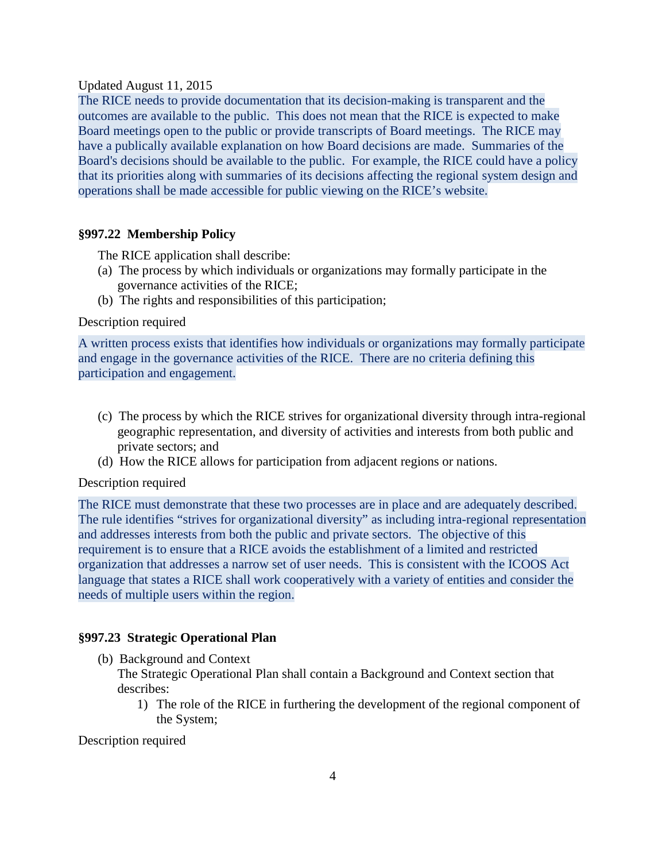The RICE needs to provide documentation that its decision-making is transparent and the outcomes are available to the public. This does not mean that the RICE is expected to make Board meetings open to the public or provide transcripts of Board meetings. The RICE may have a publically available explanation on how Board decisions are made. Summaries of the Board's decisions should be available to the public. For example, the RICE could have a policy that its priorities along with summaries of its decisions affecting the regional system design and operations shall be made accessible for public viewing on the RICE's website.

### **§997.22 Membership Policy**

The RICE application shall describe:

- (a) The process by which individuals or organizations may formally participate in the governance activities of the RICE;
- (b) The rights and responsibilities of this participation;

### Description required

A written process exists that identifies how individuals or organizations may formally participate and engage in the governance activities of the RICE. There are no criteria defining this participation and engagement.

- (c) The process by which the RICE strives for organizational diversity through intra-regional geographic representation, and diversity of activities and interests from both public and private sectors; and
- (d) How the RICE allows for participation from adjacent regions or nations.

## Description required

The RICE must demonstrate that these two processes are in place and are adequately described. The rule identifies "strives for organizational diversity" as including intra-regional representation and addresses interests from both the public and private sectors. The objective of this requirement is to ensure that a RICE avoids the establishment of a limited and restricted organization that addresses a narrow set of user needs. This is consistent with the ICOOS Act language that states a RICE shall work cooperatively with a variety of entities and consider the needs of multiple users within the region.

#### **§997.23 Strategic Operational Plan**

(b) Background and Context

The Strategic Operational Plan shall contain a Background and Context section that describes:

1) The role of the RICE in furthering the development of the regional component of the System;

Description required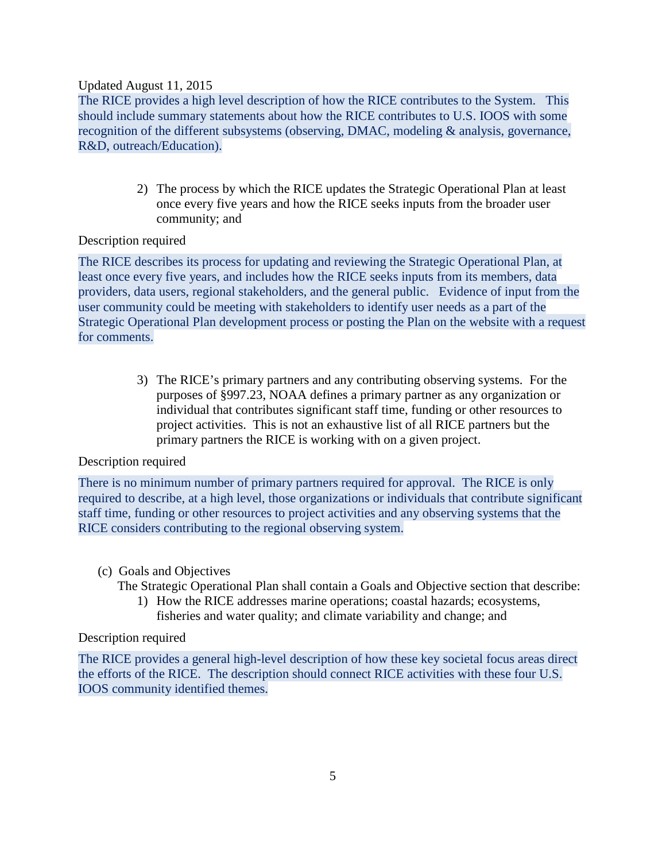The RICE provides a high level description of how the RICE contributes to the System. This should include summary statements about how the RICE contributes to U.S. IOOS with some recognition of the different subsystems (observing, DMAC, modeling & analysis, governance, R&D, outreach/Education).

> 2) The process by which the RICE updates the Strategic Operational Plan at least once every five years and how the RICE seeks inputs from the broader user community; and

## Description required

The RICE describes its process for updating and reviewing the Strategic Operational Plan, at least once every five years, and includes how the RICE seeks inputs from its members, data providers, data users, regional stakeholders, and the general public. Evidence of input from the user community could be meeting with stakeholders to identify user needs as a part of the Strategic Operational Plan development process or posting the Plan on the website with a request for comments.

> 3) The RICE's primary partners and any contributing observing systems. For the purposes of §997.23, NOAA defines a primary partner as any organization or individual that contributes significant staff time, funding or other resources to project activities. This is not an exhaustive list of all RICE partners but the primary partners the RICE is working with on a given project.

# Description required

There is no minimum number of primary partners required for approval. The RICE is only required to describe, at a high level, those organizations or individuals that contribute significant staff time, funding or other resources to project activities and any observing systems that the RICE considers contributing to the regional observing system.

- (c) Goals and Objectives
	- The Strategic Operational Plan shall contain a Goals and Objective section that describe:
		- 1) How the RICE addresses marine operations; coastal hazards; ecosystems, fisheries and water quality; and climate variability and change; and

### Description required

The RICE provides a general high-level description of how these key societal focus areas direct the efforts of the RICE. The description should connect RICE activities with these four U.S. IOOS community identified themes.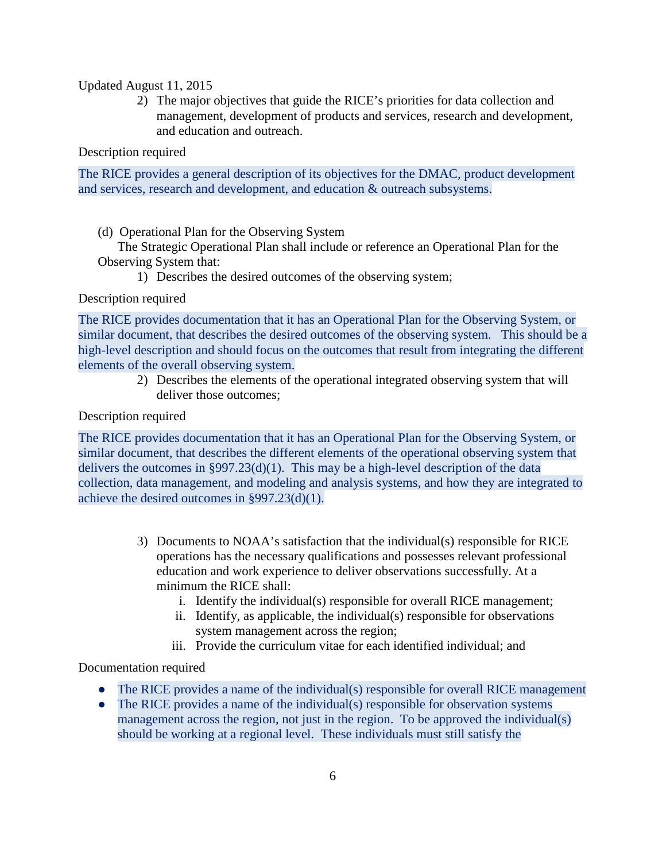2) The major objectives that guide the RICE's priorities for data collection and management, development of products and services, research and development, and education and outreach.

# Description required

The RICE provides a general description of its objectives for the DMAC, product development and services, research and development, and education & outreach subsystems.

(d) Operational Plan for the Observing System

The Strategic Operational Plan shall include or reference an Operational Plan for the Observing System that:

1) Describes the desired outcomes of the observing system;

# Description required

The RICE provides documentation that it has an Operational Plan for the Observing System, or similar document, that describes the desired outcomes of the observing system. This should be a high-level description and should focus on the outcomes that result from integrating the different elements of the overall observing system.

> 2) Describes the elements of the operational integrated observing system that will deliver those outcomes;

# Description required

The RICE provides documentation that it has an Operational Plan for the Observing System, or similar document, that describes the different elements of the operational observing system that delivers the outcomes in  $\S 997.23(d)(1)$ . This may be a high-level description of the data collection, data management, and modeling and analysis systems, and how they are integrated to achieve the desired outcomes in §997.23(d)(1).

- 3) Documents to NOAA's satisfaction that the individual(s) responsible for RICE operations has the necessary qualifications and possesses relevant professional education and work experience to deliver observations successfully. At a minimum the RICE shall:
	- i. Identify the individual(s) responsible for overall RICE management;
	- ii. Identify, as applicable, the individual(s) responsible for observations system management across the region;
	- iii. Provide the curriculum vitae for each identified individual; and

# Documentation required

- The RICE provides a name of the individual(s) responsible for overall RICE management
- The RICE provides a name of the individual(s) responsible for observation systems management across the region, not just in the region. To be approved the individual(s) should be working at a regional level. These individuals must still satisfy the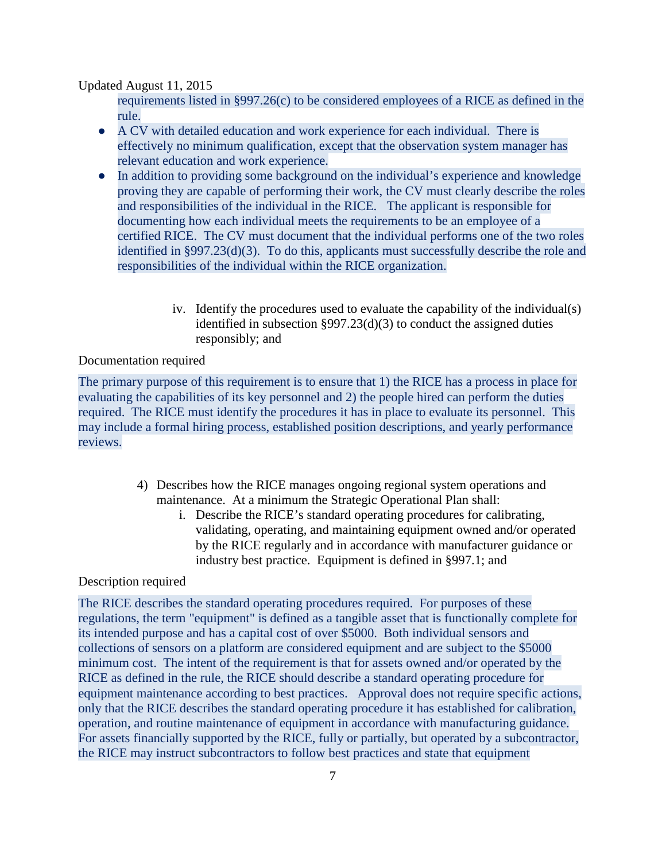requirements listed in §997.26(c) to be considered employees of a RICE as defined in the rule.

- A CV with detailed education and work experience for each individual. There is effectively no minimum qualification, except that the observation system manager has relevant education and work experience.
- In addition to providing some background on the individual's experience and knowledge proving they are capable of performing their work, the CV must clearly describe the roles and responsibilities of the individual in the RICE. The applicant is responsible for documenting how each individual meets the requirements to be an employee of a certified RICE. The CV must document that the individual performs one of the two roles identified in §997.23(d)(3). To do this, applicants must successfully describe the role and responsibilities of the individual within the RICE organization.
	- iv. Identify the procedures used to evaluate the capability of the individual(s) identified in subsection §997.23(d)(3) to conduct the assigned duties responsibly; and

## Documentation required

The primary purpose of this requirement is to ensure that 1) the RICE has a process in place for evaluating the capabilities of its key personnel and 2) the people hired can perform the duties required. The RICE must identify the procedures it has in place to evaluate its personnel. This may include a formal hiring process, established position descriptions, and yearly performance reviews.

- 4) Describes how the RICE manages ongoing regional system operations and maintenance. At a minimum the Strategic Operational Plan shall:
	- i. Describe the RICE's standard operating procedures for calibrating, validating, operating, and maintaining equipment owned and/or operated by the RICE regularly and in accordance with manufacturer guidance or industry best practice. Equipment is defined in §997.1; and

#### Description required

The RICE describes the standard operating procedures required. For purposes of these regulations, the term "equipment" is defined as a tangible asset that is functionally complete for its intended purpose and has a capital cost of over \$5000. Both individual sensors and collections of sensors on a platform are considered equipment and are subject to the \$5000 minimum cost. The intent of the requirement is that for assets owned and/or operated by the RICE as defined in the rule, the RICE should describe a standard operating procedure for equipment maintenance according to best practices. Approval does not require specific actions, only that the RICE describes the standard operating procedure it has established for calibration, operation, and routine maintenance of equipment in accordance with manufacturing guidance. For assets financially supported by the RICE, fully or partially, but operated by a subcontractor, the RICE may instruct subcontractors to follow best practices and state that equipment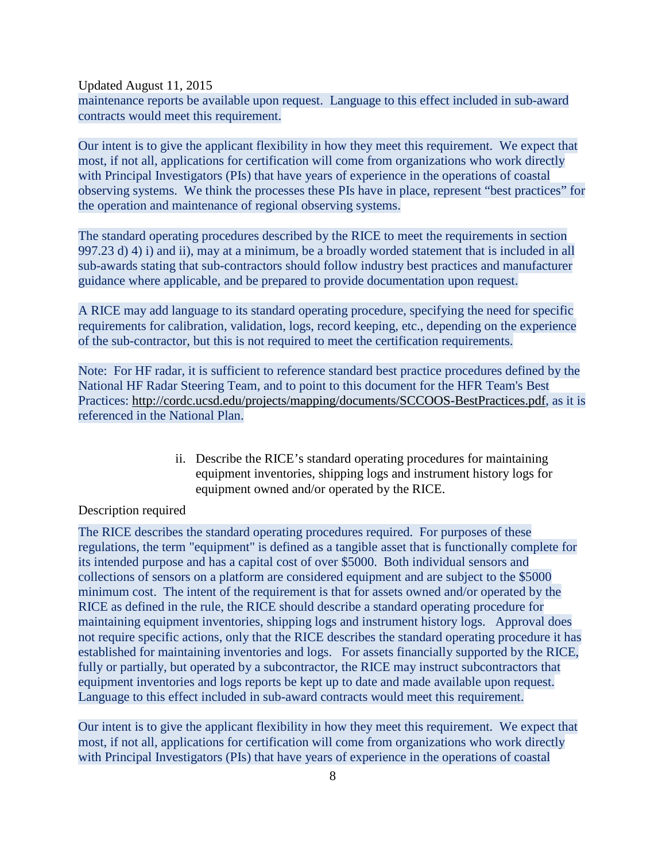maintenance reports be available upon request. Language to this effect included in sub-award contracts would meet this requirement.

Our intent is to give the applicant flexibility in how they meet this requirement. We expect that most, if not all, applications for certification will come from organizations who work directly with Principal Investigators (PIs) that have years of experience in the operations of coastal observing systems. We think the processes these PIs have in place, represent "best practices" for the operation and maintenance of regional observing systems.

The standard operating procedures described by the RICE to meet the requirements in section 997.23 d) 4) i) and ii), may at a minimum, be a broadly worded statement that is included in all sub-awards stating that sub-contractors should follow industry best practices and manufacturer guidance where applicable, and be prepared to provide documentation upon request.

A RICE may add language to its standard operating procedure, specifying the need for specific requirements for calibration, validation, logs, record keeping, etc., depending on the experience of the sub-contractor, but this is not required to meet the certification requirements.

Note: For HF radar, it is sufficient to reference standard best practice procedures defined by the National HF Radar Steering Team, and to point to this document for the HFR Team's Best Practices: [http://cordc.ucsd.edu/projects/mapping/documents/SCCOOS-BestPractices.pdf,](http://cordc.ucsd.edu/projects/mapping/documents/SCCOOS-BestPractices.pdf) as it is referenced in the National Plan.

> ii. Describe the RICE's standard operating procedures for maintaining equipment inventories, shipping logs and instrument history logs for equipment owned and/or operated by the RICE.

#### Description required

The RICE describes the standard operating procedures required. For purposes of these regulations, the term "equipment" is defined as a tangible asset that is functionally complete for its intended purpose and has a capital cost of over \$5000. Both individual sensors and collections of sensors on a platform are considered equipment and are subject to the \$5000 minimum cost. The intent of the requirement is that for assets owned and/or operated by the RICE as defined in the rule, the RICE should describe a standard operating procedure for maintaining equipment inventories, shipping logs and instrument history logs. Approval does not require specific actions, only that the RICE describes the standard operating procedure it has established for maintaining inventories and logs. For assets financially supported by the RICE, fully or partially, but operated by a subcontractor, the RICE may instruct subcontractors that equipment inventories and logs reports be kept up to date and made available upon request. Language to this effect included in sub-award contracts would meet this requirement.

Our intent is to give the applicant flexibility in how they meet this requirement. We expect that most, if not all, applications for certification will come from organizations who work directly with Principal Investigators (PIs) that have years of experience in the operations of coastal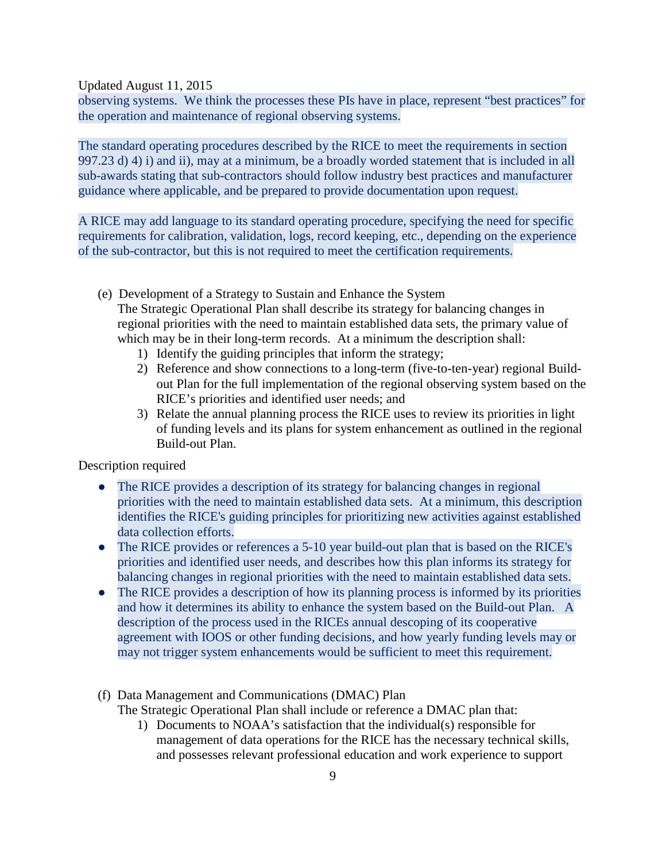observing systems. We think the processes these PIs have in place, represent "best practices" for the operation and maintenance of regional observing systems.

The standard operating procedures described by the RICE to meet the requirements in section 997.23 d) 4) i) and ii), may at a minimum, be a broadly worded statement that is included in all sub-awards stating that sub-contractors should follow industry best practices and manufacturer guidance where applicable, and be prepared to provide documentation upon request.

A RICE may add language to its standard operating procedure, specifying the need for specific requirements for calibration, validation, logs, record keeping, etc., depending on the experience of the sub-contractor, but this is not required to meet the certification requirements.

(e) Development of a Strategy to Sustain and Enhance the System

The Strategic Operational Plan shall describe its strategy for balancing changes in regional priorities with the need to maintain established data sets, the primary value of which may be in their long-term records. At a minimum the description shall:

- 1) Identify the guiding principles that inform the strategy;
- 2) Reference and show connections to a long-term (five-to-ten-year) regional Buildout Plan for the full implementation of the regional observing system based on the RICE's priorities and identified user needs; and
- 3) Relate the annual planning process the RICE uses to review its priorities in light of funding levels and its plans for system enhancement as outlined in the regional Build-out Plan.

Description required

- The RICE provides a description of its strategy for balancing changes in regional priorities with the need to maintain established data sets. At a minimum, this description identifies the RICE's guiding principles for prioritizing new activities against established data collection efforts.
- The RICE provides or references a 5-10 year build-out plan that is based on the RICE's priorities and identified user needs, and describes how this plan informs its strategy for balancing changes in regional priorities with the need to maintain established data sets.
- The RICE provides a description of how its planning process is informed by its priorities and how it determines its ability to enhance the system based on the Build-out Plan. A description of the process used in the RICEs annual descoping of its cooperative agreement with IOOS or other funding decisions, and how yearly funding levels may or may not trigger system enhancements would be sufficient to meet this requirement.
- (f) Data Management and Communications (DMAC) Plan The Strategic Operational Plan shall include or reference a DMAC plan that:
	- 1) Documents to NOAA's satisfaction that the individual(s) responsible for management of data operations for the RICE has the necessary technical skills, and possesses relevant professional education and work experience to support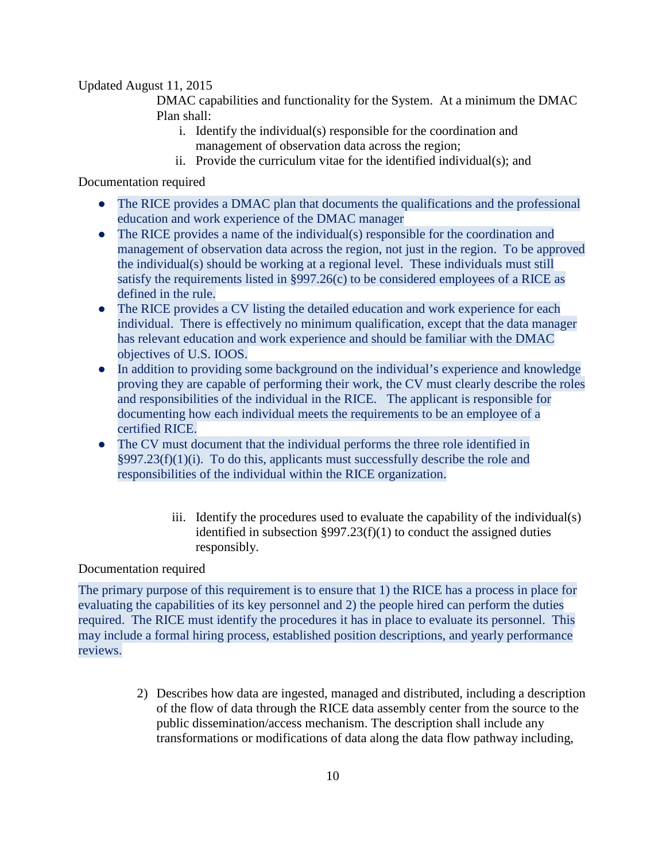DMAC capabilities and functionality for the System. At a minimum the DMAC Plan shall:

- i. Identify the individual(s) responsible for the coordination and management of observation data across the region;
- ii. Provide the curriculum vitae for the identified individual(s); and

Documentation required

- The RICE provides a DMAC plan that documents the qualifications and the professional education and work experience of the DMAC manager
- The RICE provides a name of the individual(s) responsible for the coordination and management of observation data across the region, not just in the region. To be approved the individual(s) should be working at a regional level. These individuals must still satisfy the requirements listed in §997.26(c) to be considered employees of a RICE as defined in the rule.
- The RICE provides a CV listing the detailed education and work experience for each individual. There is effectively no minimum qualification, except that the data manager has relevant education and work experience and should be familiar with the DMAC objectives of U.S. IOOS.
- In addition to providing some background on the individual's experience and knowledge proving they are capable of performing their work, the CV must clearly describe the roles and responsibilities of the individual in the RICE. The applicant is responsible for documenting how each individual meets the requirements to be an employee of a certified RICE.
- The CV must document that the individual performs the three role identified in  $§997.23(f)(1)(i)$ . To do this, applicants must successfully describe the role and responsibilities of the individual within the RICE organization.
	- iii. Identify the procedures used to evaluate the capability of the individual(s) identified in subsection  $\S 997.23(f)(1)$  to conduct the assigned duties responsibly.

# Documentation required

The primary purpose of this requirement is to ensure that 1) the RICE has a process in place for evaluating the capabilities of its key personnel and 2) the people hired can perform the duties required. The RICE must identify the procedures it has in place to evaluate its personnel. This may include a formal hiring process, established position descriptions, and yearly performance reviews.

> 2) Describes how data are ingested, managed and distributed, including a description of the flow of data through the RICE data assembly center from the source to the public dissemination/access mechanism. The description shall include any transformations or modifications of data along the data flow pathway including,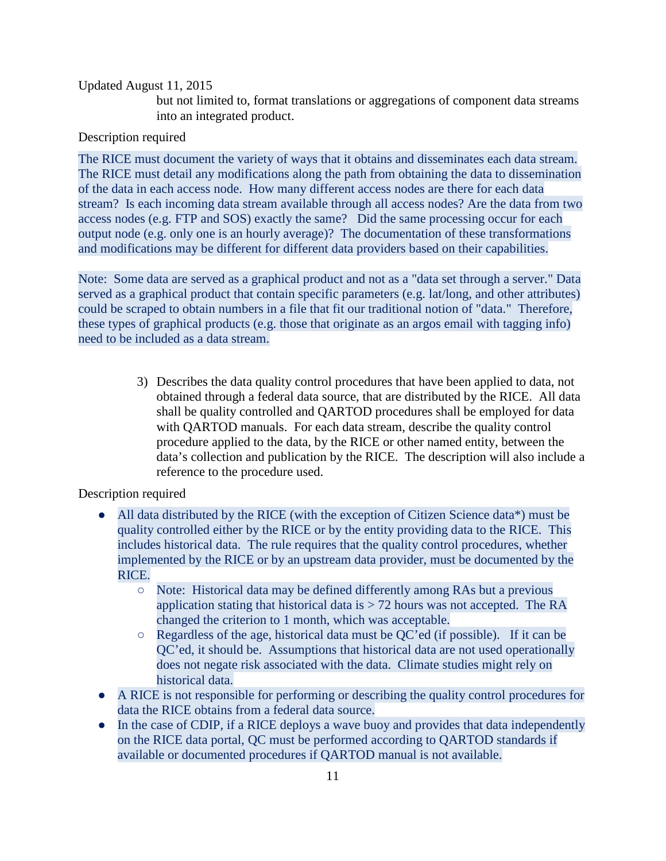but not limited to, format translations or aggregations of component data streams into an integrated product.

### Description required

The RICE must document the variety of ways that it obtains and disseminates each data stream. The RICE must detail any modifications along the path from obtaining the data to dissemination of the data in each access node. How many different access nodes are there for each data stream? Is each incoming data stream available through all access nodes? Are the data from two access nodes (e.g. FTP and SOS) exactly the same? Did the same processing occur for each output node (e.g. only one is an hourly average)? The documentation of these transformations and modifications may be different for different data providers based on their capabilities.

Note: Some data are served as a graphical product and not as a "data set through a server." Data served as a graphical product that contain specific parameters (e.g. lat/long, and other attributes) could be scraped to obtain numbers in a file that fit our traditional notion of "data." Therefore, these types of graphical products (e.g. those that originate as an argos email with tagging info) need to be included as a data stream.

> 3) Describes the data quality control procedures that have been applied to data, not obtained through a federal data source, that are distributed by the RICE. All data shall be quality controlled and QARTOD procedures shall be employed for data with QARTOD manuals. For each data stream, describe the quality control procedure applied to the data, by the RICE or other named entity, between the data's collection and publication by the RICE. The description will also include a reference to the procedure used.

Description required

- All data distributed by the RICE (with the exception of Citizen Science data\*) must be quality controlled either by the RICE or by the entity providing data to the RICE. This includes historical data. The rule requires that the quality control procedures, whether implemented by the RICE or by an upstream data provider, must be documented by the RICE.
	- Note: Historical data may be defined differently among RAs but a previous application stating that historical data is  $> 72$  hours was not accepted. The RA changed the criterion to 1 month, which was acceptable.
	- Regardless of the age, historical data must be QC'ed (if possible). If it can be QC'ed, it should be. Assumptions that historical data are not used operationally does not negate risk associated with the data. Climate studies might rely on historical data.
- A RICE is not responsible for performing or describing the quality control procedures for data the RICE obtains from a federal data source.
- In the case of CDIP, if a RICE deploys a wave buoy and provides that data independently on the RICE data portal, QC must be performed according to QARTOD standards if available or documented procedures if QARTOD manual is not available.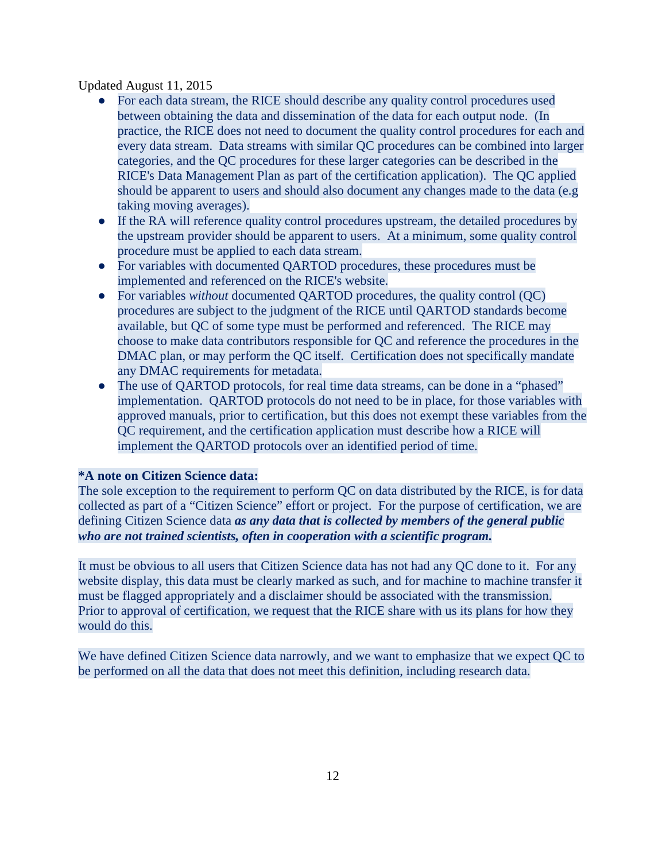- For each data stream, the RICE should describe any quality control procedures used between obtaining the data and dissemination of the data for each output node. (In practice, the RICE does not need to document the quality control procedures for each and every data stream. Data streams with similar QC procedures can be combined into larger categories, and the QC procedures for these larger categories can be described in the RICE's Data Management Plan as part of the certification application). The QC applied should be apparent to users and should also document any changes made to the data (e.g taking moving averages).
- If the RA will reference quality control procedures upstream, the detailed procedures by the upstream provider should be apparent to users. At a minimum, some quality control procedure must be applied to each data stream.
- For variables with documented QARTOD procedures, these procedures must be implemented and referenced on the RICE's website.
- For variables *without* documented QARTOD procedures, the quality control (QC) procedures are subject to the judgment of the RICE until QARTOD standards become available, but QC of some type must be performed and referenced. The RICE may choose to make data contributors responsible for QC and reference the procedures in the DMAC plan, or may perform the QC itself. Certification does not specifically mandate any DMAC requirements for metadata.
- The use of OARTOD protocols, for real time data streams, can be done in a "phased" implementation. QARTOD protocols do not need to be in place, for those variables with approved manuals, prior to certification, but this does not exempt these variables from the QC requirement, and the certification application must describe how a RICE will implement the QARTOD protocols over an identified period of time.

### **\*A note on Citizen Science data:**

The sole exception to the requirement to perform QC on data distributed by the RICE, is for data collected as part of a "Citizen Science" effort or project. For the purpose of certification, we are defining Citizen Science data *as any data that is collected by members of the general public who are not trained scientists, often in cooperation with a scientific program.*

It must be obvious to all users that Citizen Science data has not had any QC done to it. For any website display, this data must be clearly marked as such, and for machine to machine transfer it must be flagged appropriately and a disclaimer should be associated with the transmission. Prior to approval of certification, we request that the RICE share with us its plans for how they would do this.

We have defined Citizen Science data narrowly, and we want to emphasize that we expect QC to be performed on all the data that does not meet this definition, including research data.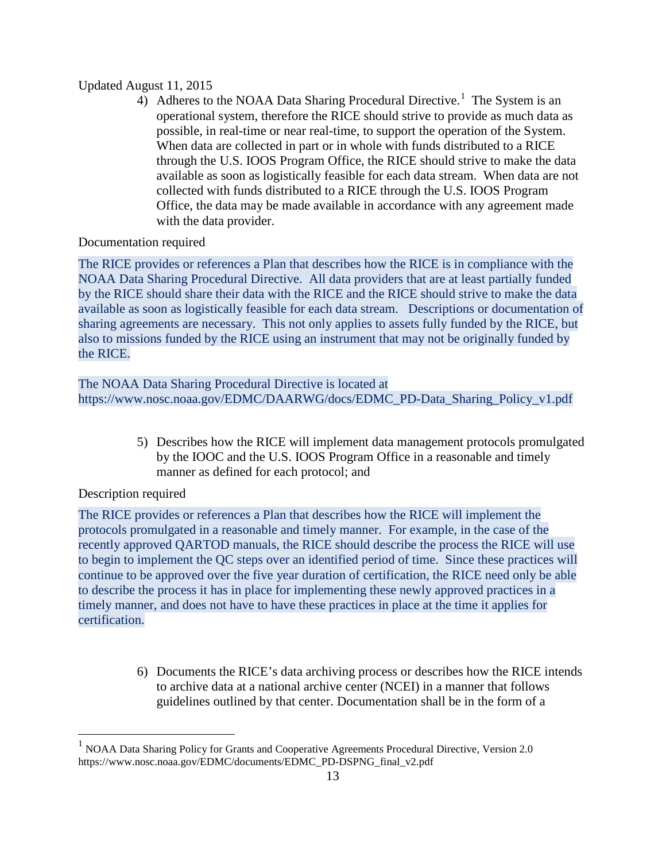4) Adheres to the NOAA Data Sharing Procedural Directive.<sup>[1](#page-12-0)</sup> The System is an operational system, therefore the RICE should strive to provide as much data as possible, in real-time or near real-time, to support the operation of the System. When data are collected in part or in whole with funds distributed to a RICE through the U.S. IOOS Program Office, the RICE should strive to make the data available as soon as logistically feasible for each data stream. When data are not collected with funds distributed to a RICE through the U.S. IOOS Program Office, the data may be made available in accordance with any agreement made with the data provider.

# Documentation required

The RICE provides or references a Plan that describes how the RICE is in compliance with the NOAA Data Sharing Procedural Directive. All data providers that are at least partially funded by the RICE should share their data with the RICE and the RICE should strive to make the data available as soon as logistically feasible for each data stream. Descriptions or documentation of sharing agreements are necessary. This not only applies to assets fully funded by the RICE, but also to missions funded by the RICE using an instrument that may not be originally funded by the RICE.

The NOAA Data Sharing Procedural Directive is located at https://www.nosc.noaa.gov/EDMC/DAARWG/docs/EDMC\_PD-Data\_Sharing\_Policy\_v1.pdf

> 5) Describes how the RICE will implement data management protocols promulgated by the IOOC and the U.S. IOOS Program Office in a reasonable and timely manner as defined for each protocol; and

# Description required

The RICE provides or references a Plan that describes how the RICE will implement the protocols promulgated in a reasonable and timely manner. For example, in the case of the recently approved QARTOD manuals, the RICE should describe the process the RICE will use to begin to implement the QC steps over an identified period of time. Since these practices will continue to be approved over the five year duration of certification, the RICE need only be able to describe the process it has in place for implementing these newly approved practices in a timely manner, and does not have to have these practices in place at the time it applies for certification.

> 6) Documents the RICE's data archiving process or describes how the RICE intends to archive data at a national archive center (NCEI) in a manner that follows guidelines outlined by that center. Documentation shall be in the form of a

<span id="page-12-0"></span><sup>&</sup>lt;sup>1</sup> NOAA Data Sharing Policy for Grants and Cooperative Agreements Procedural Directive, Version 2.0 https://www.nosc.noaa.gov/EDMC/documents/EDMC\_PD-DSPNG\_final\_v2.pdf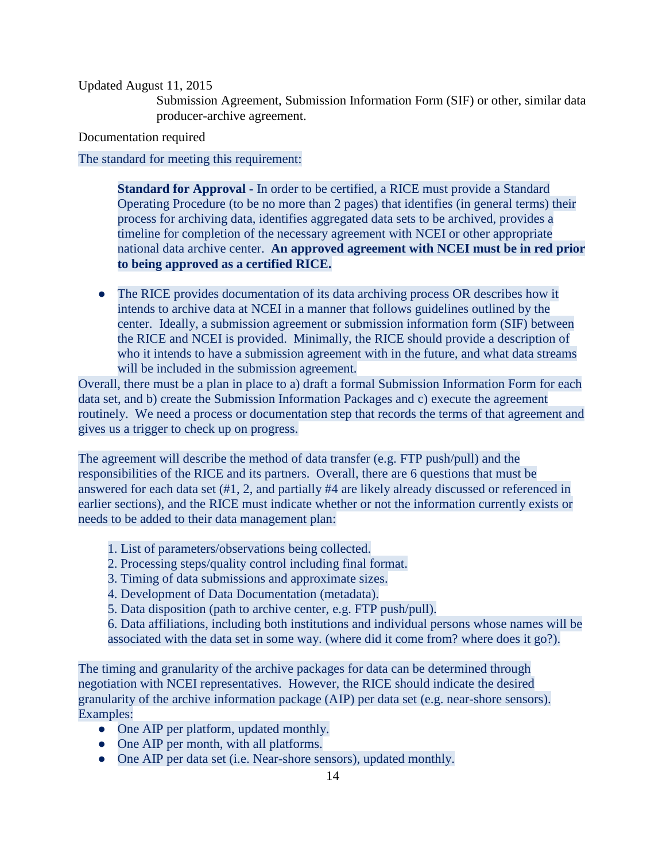Submission Agreement, Submission Information Form (SIF) or other, similar data producer-archive agreement.

Documentation required

### The standard for meeting this requirement:

**Standard for Approval -** In order to be certified, a RICE must provide a Standard Operating Procedure (to be no more than 2 pages) that identifies (in general terms) their process for archiving data, identifies aggregated data sets to be archived, provides a timeline for completion of the necessary agreement with NCEI or other appropriate national data archive center. **An approved agreement with NCEI must be in red prior to being approved as a certified RICE.**

● The RICE provides documentation of its data archiving process OR describes how it intends to archive data at NCEI in a manner that follows guidelines outlined by the center. Ideally, a submission agreement or submission information form (SIF) between the RICE and NCEI is provided. Minimally, the RICE should provide a description of who it intends to have a submission agreement with in the future, and what data streams will be included in the submission agreement.

Overall, there must be a plan in place to a) draft a formal Submission Information Form for each data set, and b) create the Submission Information Packages and c) execute the agreement routinely. We need a process or documentation step that records the terms of that agreement and gives us a trigger to check up on progress.

The agreement will describe the method of data transfer (e.g. FTP push/pull) and the responsibilities of the RICE and its partners. Overall, there are 6 questions that must be answered for each data set (#1, 2, and partially #4 are likely already discussed or referenced in earlier sections), and the RICE must indicate whether or not the information currently exists or needs to be added to their data management plan:

- 1. List of parameters/observations being collected.
- 2. Processing steps/quality control including final format.
- 3. Timing of data submissions and approximate sizes.
- 4. Development of Data Documentation (metadata).
- 5. Data disposition (path to archive center, e.g. FTP push/pull).

6. Data affiliations, including both institutions and individual persons whose names will be associated with the data set in some way. (where did it come from? where does it go?).

The timing and granularity of the archive packages for data can be determined through negotiation with NCEI representatives. However, the RICE should indicate the desired granularity of the archive information package (AIP) per data set (e.g. near-shore sensors). Examples:

- One AIP per platform, updated monthly.
- One AIP per month, with all platforms.
- One AIP per data set (i.e. Near-shore sensors), updated monthly.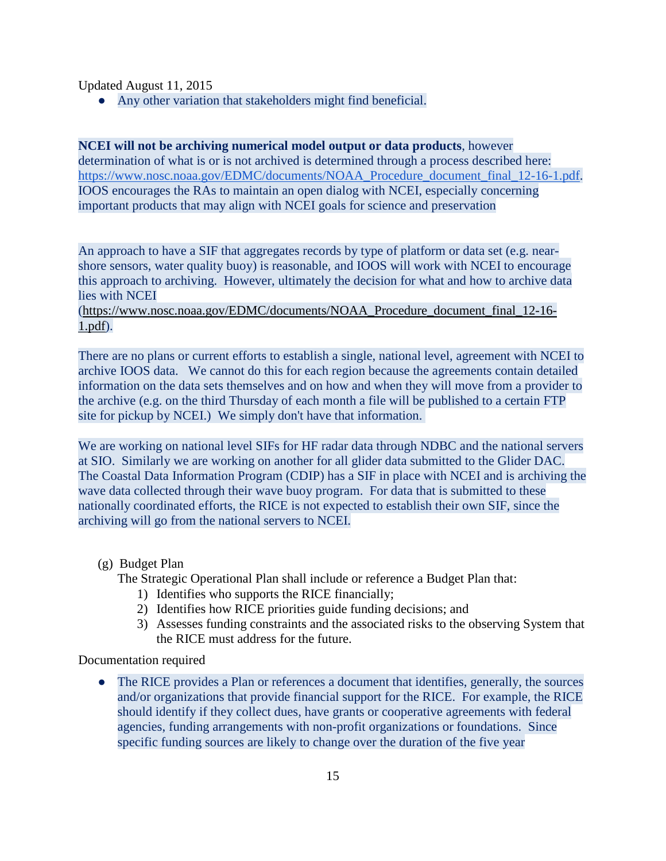● Any other variation that stakeholders might find beneficial.

**NCEI will not be archiving numerical model output or data products**, however determination of what is or is not archived is determined through a process described here[:](https://www.nosc.noaa.gov/EDMC/documents/NOAA_Procedure_document_final_12-16-1.pdf) [https://www.nosc.noaa.gov/EDMC/documents/NOAA\\_Procedure\\_document\\_final\\_12-16-1.pdf.](https://www.nosc.noaa.gov/EDMC/documents/NOAA_Procedure_document_final_12-16-1.pdf) IOOS encourages the RAs to maintain an open dialog with NCEI, especially concerning important products that may align with NCEI goals for science and preservation

An approach to have a SIF that aggregates records by type of platform or data set (e.g. nearshore sensors, water quality buoy) is reasonable, and IOOS will work with NCEI to encourage this approach to archiving. However, ultimately the decision for what and how to archive data lies with NCEI

[\(https://www.nosc.noaa.gov/EDMC/documents/NOAA\\_Procedure\\_document\\_final\\_12-16-](https://www.nosc.noaa.gov/EDMC/documents/NOAA_Procedure_document_final_12-16-1.pdf) [1.pdf\)](https://www.nosc.noaa.gov/EDMC/documents/NOAA_Procedure_document_final_12-16-1.pdf).

There are no plans or current efforts to establish a single, national level, agreement with NCEI to archive IOOS data. We cannot do this for each region because the agreements contain detailed information on the data sets themselves and on how and when they will move from a provider to the archive (e.g. on the third Thursday of each month a file will be published to a certain FTP site for pickup by NCEI.) We simply don't have that information.

We are working on national level SIFs for HF radar data through NDBC and the national servers at SIO. Similarly we are working on another for all glider data submitted to the Glider DAC. The Coastal Data Information Program (CDIP) has a SIF in place with NCEI and is archiving the wave data collected through their wave buoy program. For data that is submitted to these nationally coordinated efforts, the RICE is not expected to establish their own SIF, since the archiving will go from the national servers to NCEI.

(g) Budget Plan

The Strategic Operational Plan shall include or reference a Budget Plan that:

- 1) Identifies who supports the RICE financially;
- 2) Identifies how RICE priorities guide funding decisions; and
- 3) Assesses funding constraints and the associated risks to the observing System that the RICE must address for the future.

Documentation required

● The RICE provides a Plan or references a document that identifies, generally, the sources and/or organizations that provide financial support for the RICE. For example, the RICE should identify if they collect dues, have grants or cooperative agreements with federal agencies, funding arrangements with non-profit organizations or foundations. Since specific funding sources are likely to change over the duration of the five year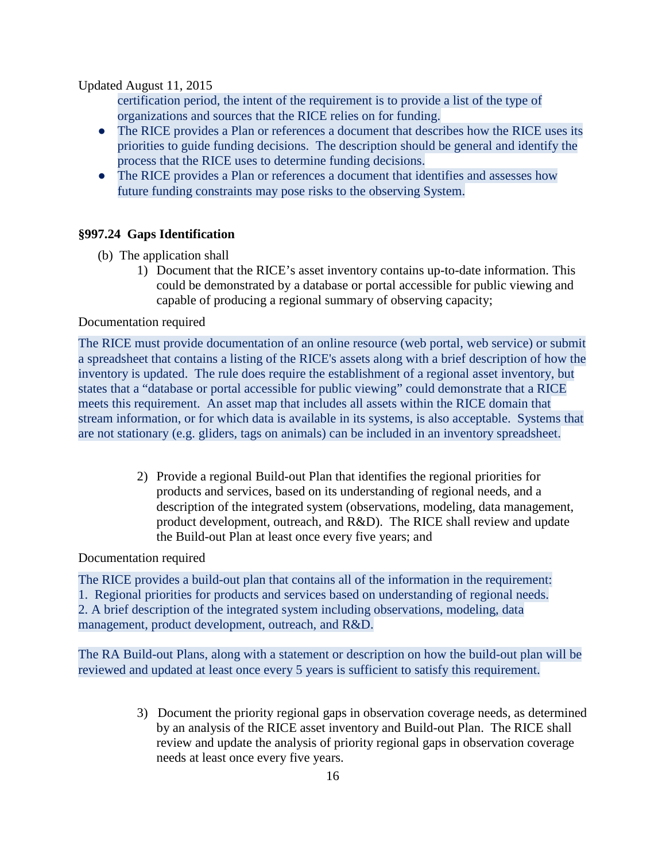certification period, the intent of the requirement is to provide a list of the type of organizations and sources that the RICE relies on for funding.

- The RICE provides a Plan or references a document that describes how the RICE uses its priorities to guide funding decisions. The description should be general and identify the process that the RICE uses to determine funding decisions.
- The RICE provides a Plan or references a document that identifies and assesses how future funding constraints may pose risks to the observing System.

# **§997.24 Gaps Identification**

- (b) The application shall
	- 1) Document that the RICE's asset inventory contains up-to-date information. This could be demonstrated by a database or portal accessible for public viewing and capable of producing a regional summary of observing capacity;

## Documentation required

The RICE must provide documentation of an online resource (web portal, web service) or submit a spreadsheet that contains a listing of the RICE's assets along with a brief description of how the inventory is updated. The rule does require the establishment of a regional asset inventory, but states that a "database or portal accessible for public viewing" could demonstrate that a RICE meets this requirement. An asset map that includes all assets within the RICE domain that stream information, or for which data is available in its systems, is also acceptable. Systems that are not stationary (e.g. gliders, tags on animals) can be included in an inventory spreadsheet.

> 2) Provide a regional Build-out Plan that identifies the regional priorities for products and services, based on its understanding of regional needs, and a description of the integrated system (observations, modeling, data management, product development, outreach, and R&D). The RICE shall review and update the Build-out Plan at least once every five years; and

# Documentation required

The RICE provides a build-out plan that contains all of the information in the requirement: 1. Regional priorities for products and services based on understanding of regional needs. 2. A brief description of the integrated system including observations, modeling, data management, product development, outreach, and R&D.

The RA Build-out Plans, along with a statement or description on how the build-out plan will be reviewed and updated at least once every 5 years is sufficient to satisfy this requirement.

> 3) Document the priority regional gaps in observation coverage needs, as determined by an analysis of the RICE asset inventory and Build-out Plan. The RICE shall review and update the analysis of priority regional gaps in observation coverage needs at least once every five years.